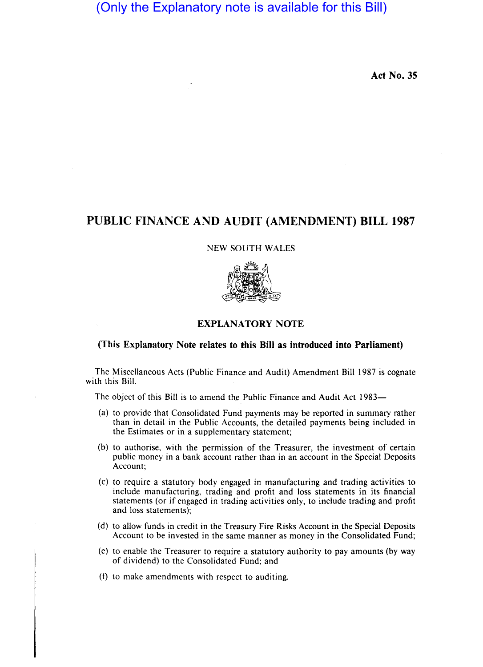# (Only the Explanatory note is available for this Bill)

**Act No. 35** 

## **PUBLIC FINANCE AND AUDIT (AMENDMENT) BILL 1987**

#### NEW SOUTH WALES



## **EXPLANATORY NOTE**

### **(This Explanatory Note relates to this Bill as introduced into Parliament)**

The Miscellaneous Acts (Public Finance and Audit) Amendment Bill 1987 is cognate with this Bill.

The object of this Bill is to amend the Public Finance and Audit Act 1983-

- (a) to provide that Consolidated Fund payments may be reported in summary rather than in detail in the Public Accounts, the detailed payments being included in the Estimates or in a supplementary statement;
- (b) to authorise, with the permission of the Treasurer, the investment of certain public money in a bank account rather than in an account in the Special Deposits Account;
- (c) to require a statutory body engaged in manufacturing and trading activities to include manufacturing, trading and profit and loss statements in its financial statements (or if engaged in trading activities only, to include trading and profit and loss statements);
- (d) to allow funds in credit in the Treasury Fire Risks Account in the Special Deposits Account to be invested in the same manner as money in the Consolidated Fund;
- (e) to enable the Treasurer to require a statutory authority to pay amounts (by way of dividend) to the Consolidated Fund; and
- (f) to make amendments with respect to auditing.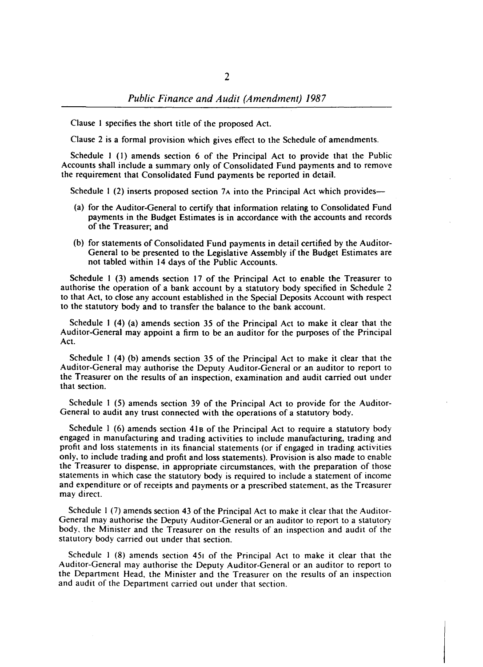Clause I specifies the short title of the proposed Act.

Clause 2 is a formal provision which gives effect to the Schedule of amendments.

Schedule I (I) amends section 6 of the Principal Act to provide that the Public Accounts shall include a summary only of Consolidated Fund payments and to remove the requirement that Consolidated Fund payments be reported in detail.

Schedule 1 (2) inserts proposed section 7 $\lambda$  into the Principal Act which provides—

- (a) for the Auditor-General to certify that information relating to Consolidated Fund payments in the Budget Estimates is in accordance with the accounts and records of the Treasurer; and
- (b) for statements of Consolidated Fund payments in detail certified by the Auditor-General to be presented to the Legislative Assembly if the Budget Estimates are not tabled within 14 days of the Public Accounts.

Schedule I (3) amends section 17 of the Principal Act to enable the Treasurer to authorise the operation of a bank account by a statutory body specified in Schedule 2 to that Act, to close any account established in the Special Deposits Account with respect to the statutory body and to transfer the balance to the bank account.

Schedule I (4) (a) amends section 35 of the Principal Act to make it clear that the Auditor-General may appoint a firm to be an auditor for the purposes of the Principal Act.

Schedule 1 (4) (b) amends section 35 of the Principal Act to make it clear that the Auditor-General may authorise the Deputy Auditor-General or an auditor to report to the Treasurer on the results of an inspection, examination and audit carried out under that section.

Schedule I (5) amends section 39 of the Principal Act to provide for the Auditor-General to audit any trust connected with the operations of a statutory body.

Schedule I (6) amends section 418 of the Principal Act to require a statutory body engaged in manufacturing and trading activities to include manufacturing, trading and profit and loss statements in its financial statements (or if engaged in trading activities only, to include trading and profit and loss statements). Provision is also made to enable the Treasurer to dispense, in appropriate circumstances, with the preparation of those statements in which case the statutory body is required to include a statement of income and expenditure or of receipts and payments or a prescribed statement, as the Treasurer may direct.

Schedule 1 (7) amends section 43 of the Principal Act to make it clear that the Auditor-General may authorise the Deputy Auditor-General or an auditor to report to a statutory body, the Minister and the Treasurer on the results of an inspection and audit of the statutory body carried out under that section.

Schedule I (8) amends section 451 of the Principal Act to make it clear that the Auditor-General may authorise the Deputy Auditor-General or an auditor to report to the Department Head, the Minister and the Treasurer on the results of an inspection and audit of the Department carried out under that section.